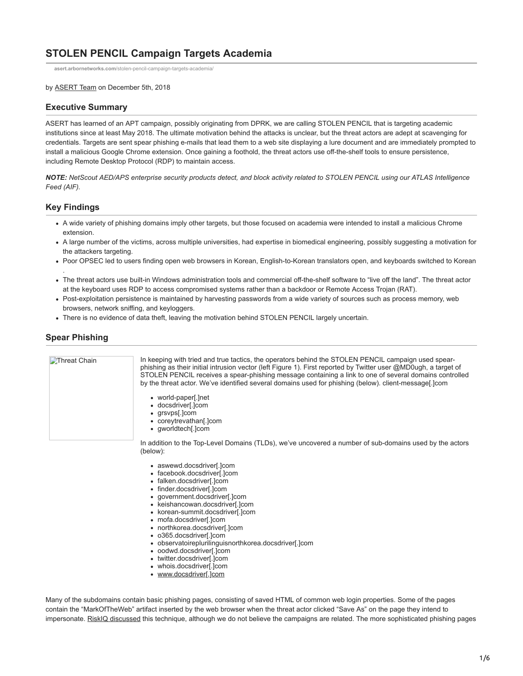# **STOLEN PENCIL Campaign Targets Academia**

**asert.arbornetworks.com**[/stolen-pencil-campaign-targets-academia/](https://asert.arbornetworks.com/stolen-pencil-campaign-targets-academia/)

by [ASERT Team](https://www.netscout.com/blog/asert/asert-team) on December 5th, 2018

#### **Executive Summary**

ASERT has learned of an APT campaign, possibly originating from DPRK, we are calling STOLEN PENCIL that is targeting academic institutions since at least May 2018. The ultimate motivation behind the attacks is unclear, but the threat actors are adept at scavenging for credentials. Targets are sent spear phishing e-mails that lead them to a web site displaying a lure document and are immediately prompted to install a malicious Google Chrome extension. Once gaining a foothold, the threat actors use off-the-shelf tools to ensure persistence, including Remote Desktop Protocol (RDP) to maintain access.

*NOTE: NetScout AED/APS enterprise security products detect, and block activity related to STOLEN PENCIL using our ATLAS Intelligence Feed (AIF).*

### **Key Findings**

.

- A wide variety of phishing domains imply other targets, but those focused on academia were intended to install a malicious Chrome extension.
- A large number of the victims, across multiple universities, had expertise in biomedical engineering, possibly suggesting a motivation for the attackers targeting.
- Poor OPSEC led to users finding open web browsers in Korean, English-to-Korean translators open, and keyboards switched to Korean
- The threat actors use built-in Windows administration tools and commercial off-the-shelf software to "live off the land". The threat actor at the keyboard uses RDP to access compromised systems rather than a backdoor or Remote Access Trojan (RAT).
- Post-exploitation persistence is maintained by harvesting passwords from a wide variety of sources such as process memory, web browsers, network sniffing, and keyloggers.
- There is no evidence of data theft, leaving the motivation behind STOLEN PENCIL largely uncertain.

### **Spear Phishing**

| Threat Chain | In keeping with tried and true tactics, the operators behind the STOLEN PENCIL campaign used spear-<br>phishing as their initial intrusion vector (left Figure 1). First reported by Twitter user @MD0ugh, a target of<br>STOLEN PENCIL receives a spear-phishing message containing a link to one of several domains controlled<br>by the threat actor. We've identified several domains used for phishing (below), client-message[.]com |
|--------------|-------------------------------------------------------------------------------------------------------------------------------------------------------------------------------------------------------------------------------------------------------------------------------------------------------------------------------------------------------------------------------------------------------------------------------------------|
|              | • world-paper[.]net<br>• docsdriver[.]com<br>• grsvps[.]com<br>• coreytrevathan[.]com<br>• qworldtech[.]com                                                                                                                                                                                                                                                                                                                               |
|              | In addition to the Top-Level Domains (TLDs), we've uncovered a number of sub-domains used by the actors<br>(below):                                                                                                                                                                                                                                                                                                                       |
|              | a sewawd docedrivar[Jcom                                                                                                                                                                                                                                                                                                                                                                                                                  |

- aswewd.docsdriver[.]com
- facebook.docsdriver[.]com
- falken.docsdriver[.]com
- finder.docsdriver[.]com
- government.docsdriver[.]com
- keishancowan.docsdriver[.]com
- korean-summit.docsdriver[.]com
- mofa.docsdriver[.]com
- northkorea.docsdriver[.]com
- o365.docsdriver[.]com
- observatoireplurilinguisnorthkorea.docsdriver[.]com
- oodwd.docsdriver[.]com
- twitter.docsdriver[.]com
- whois.docsdriver[.]com www.docsdriver[.]com

Many of the subdomains contain basic phishing pages, consisting of saved HTML of common web login properties. Some of the pages contain the "MarkOfTheWeb" artifact inserted by the web browser when the threat actor clicked "Save As" on the page they intend to impersonate. [RiskIQ discussed](https://www.riskiq.com/blog/labs/markoftheweb/) this technique, although we do not believe the campaigns are related. The more sophisticated phishing pages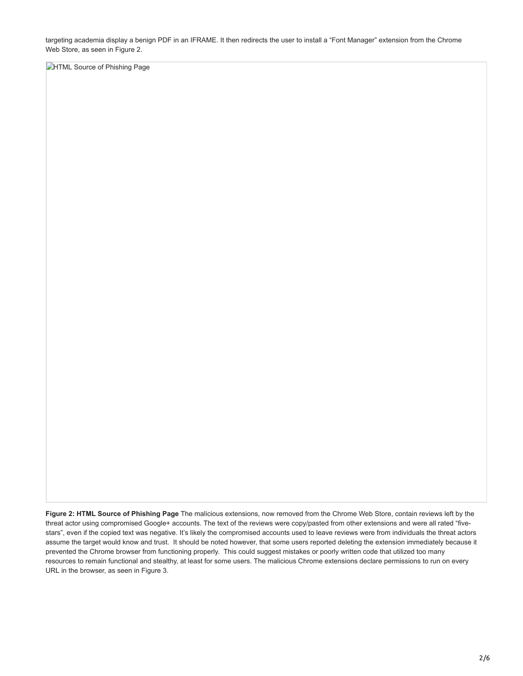targeting academia display a benign PDF in an IFRAME. It then redirects the user to install a "Font Manager" extension from the Chrome Web Store, as seen in Figure 2.

**DHTML Source of Phishing Page** 

**Figure 2: HTML Source of Phishing Page** The malicious extensions, now removed from the Chrome Web Store, contain reviews left by the threat actor using compromised Google+ accounts. The text of the reviews were copy/pasted from other extensions and were all rated "fivestars", even if the copied text was negative. It's likely the compromised accounts used to leave reviews were from individuals the threat actors assume the target would know and trust. It should be noted however, that some users reported deleting the extension immediately because it prevented the Chrome browser from functioning properly. This could suggest mistakes or poorly written code that utilized too many resources to remain functional and stealthy, at least for some users. The malicious Chrome extensions declare permissions to run on every URL in the browser, as seen in Figure 3.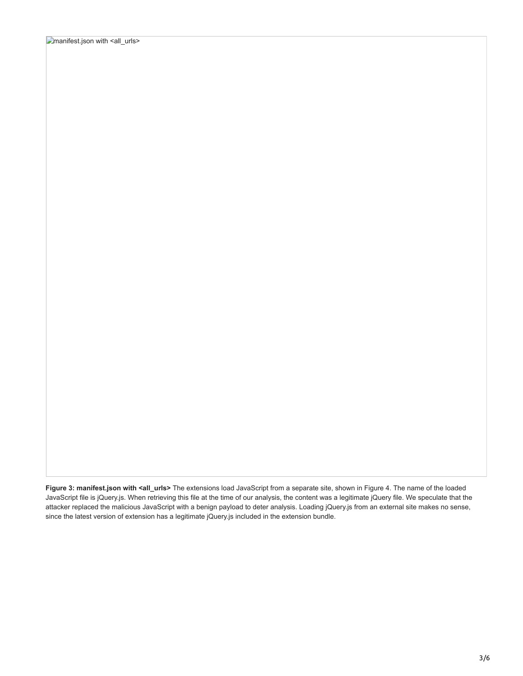**Figure 3: manifest.json with <all\_urls>** The extensions load JavaScript from a separate site, shown in Figure 4. The name of the loaded JavaScript file is jQuery.js. When retrieving this file at the time of our analysis, the content was a legitimate jQuery file. We speculate that the attacker replaced the malicious JavaScript with a benign payload to deter analysis. Loading jQuery.js from an external site makes no sense, since the latest version of extension has a legitimate jQuery.js included in the extension bundle.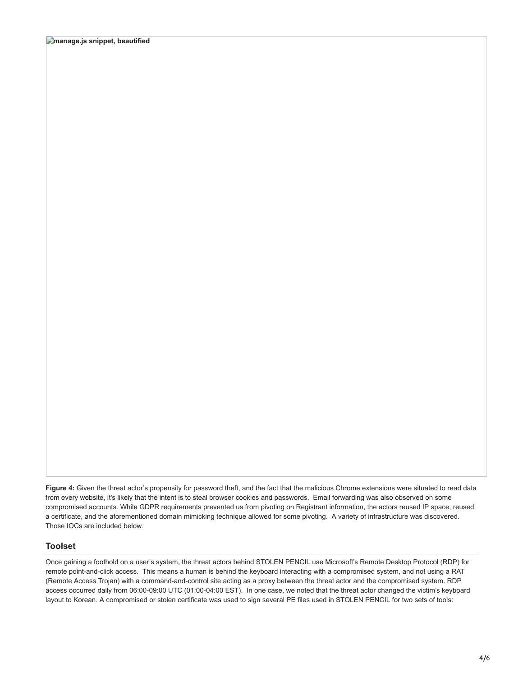Figure 4: Given the threat actor's propensity for password theft, and the fact that the malicious Chrome extensions were situated to read data from every website, it's likely that the intent is to steal browser cookies and passwords. Email forwarding was also observed on some compromised accounts. While GDPR requirements prevented us from pivoting on Registrant information, the actors reused IP space, reused a certificate, and the aforementioned domain mimicking technique allowed for some pivoting. A variety of infrastructure was discovered. Those IOCs are included below.

#### **Toolset**

Once gaining a foothold on a user's system, the threat actors behind STOLEN PENCIL use Microsoft's Remote Desktop Protocol (RDP) for remote point-and-click access. This means a human is behind the keyboard interacting with a compromised system, and not using a RAT (Remote Access Trojan) with a command-and-control site acting as a proxy between the threat actor and the compromised system. RDP access occurred daily from 06:00-09:00 UTC (01:00-04:00 EST). In one case, we noted that the threat actor changed the victim's keyboard layout to Korean. A compromised or stolen certificate was used to sign several PE files used in STOLEN PENCIL for two sets of tools: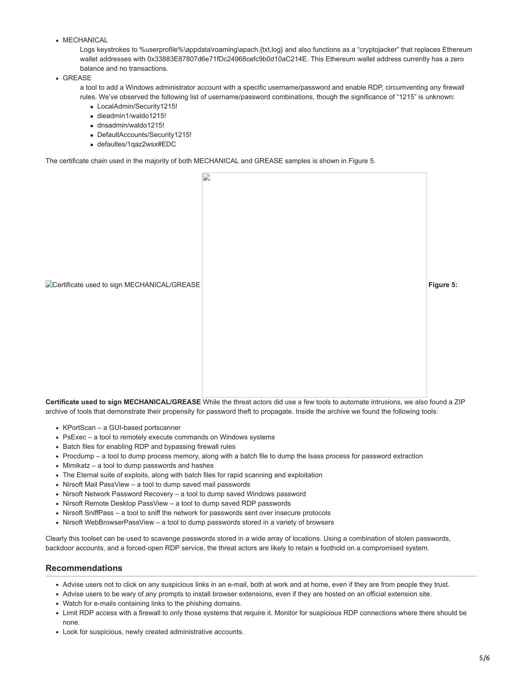• MECHANICAL

Logs keystrokes to %userprofile%\appdata\roaming\apach.{txt,log} and also functions as a "cryptojacker" that replaces Ethereum wallet addresses with 0x33883E87807d6e71fDc24968cefc9b0d10aC214E. This Ethereum wallet address currently has a zero balance and no transactions.

GREASE

a tool to add a Windows administrator account with a specific username/password and enable RDP, circumventing any firewall rules. We've observed the following list of username/password combinations, though the significance of "1215" is unknown:

- LocalAdmin/Security1215!
- dieadmin1/waldo1215!
- dnsadmin/waldo1215!
- DefaultAccounts/Security1215!
- defaultes/1qaz2wsx#EDC

The certificate chain used in the majority of both MECHANICAL and GREASE samples is shown in Figure 5.



**Certificate used to sign MECHANICAL/GREASE** While the threat actors did use a few tools to automate intrusions, we also found a ZIP archive of tools that demonstrate their propensity for password theft to propagate. Inside the archive we found the following tools:

- KPortScan a GUI-based portscanner
- PsExec a tool to remotely execute commands on Windows systems
- Batch files for enabling RDP and bypassing firewall rules
- Procdump a tool to dump process memory, along with a batch file to dump the lsass process for password extraction
- Mimikatz a tool to dump passwords and hashes
- The Eternal suite of exploits, along with batch files for rapid scanning and exploitation
- Nirsoft Mail PassView a tool to dump saved mail passwords
- Nirsoft Network Password Recovery a tool to dump saved Windows password
- Nirsoft Remote Desktop PassView a tool to dump saved RDP passwords
- Nirsoft SniffPass a tool to sniff the network for passwords sent over insecure protocols
- Nirsoft WebBrowserPassView a tool to dump passwords stored in a variety of browsers

Clearly this toolset can be used to scavenge passwords stored in a wide array of locations. Using a combination of stolen passwords, backdoor accounts, and a forced-open RDP service, the threat actors are likely to retain a foothold on a compromised system.

#### **Recommendations**

- Advise users not to click on any suspicious links in an e-mail, both at work and at home, even if they are from people they trust.
- Advise users to be wary of any prompts to install browser extensions, even if they are hosted on an official extension site.
- Watch for e-mails containing links to the phishing domains.
- Limit RDP access with a firewall to only those systems that require it. Monitor for suspicious RDP connections where there should be none.
- Look for suspicious, newly created administrative accounts.